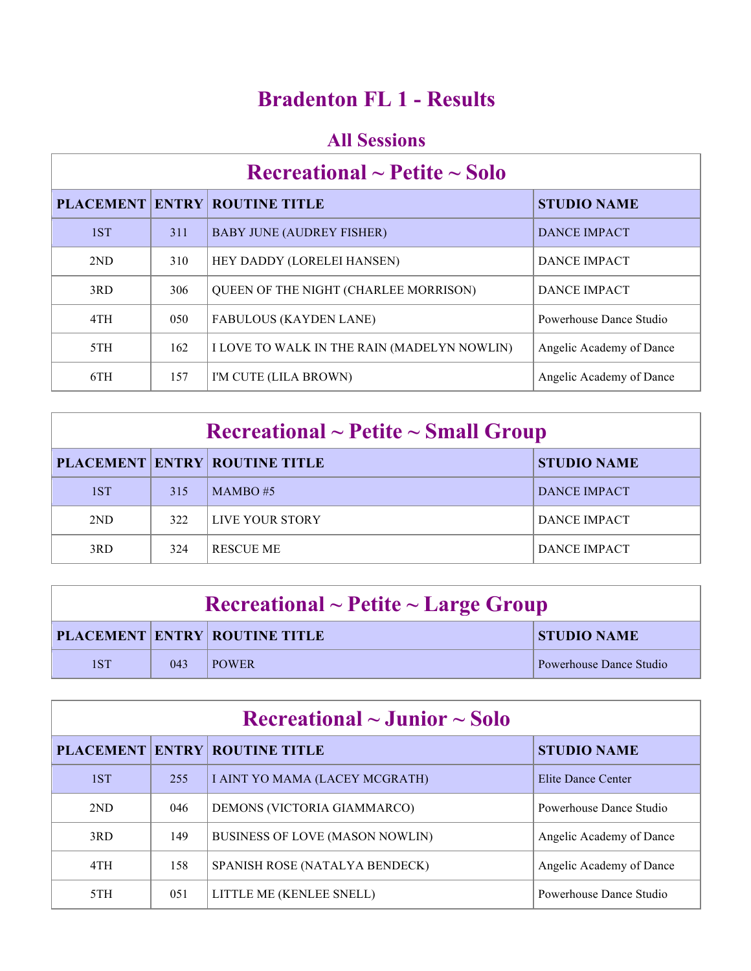### **Bradenton FL 1 - Results**

#### **All Sessions**

# **Recreational ~ Petite ~ Solo**

|     |     | <b>PLACEMENT ENTRY ROUTINE TITLE</b>        | <b>STUDIO NAME</b>       |
|-----|-----|---------------------------------------------|--------------------------|
| 1ST | 311 | <b>BABY JUNE (AUDREY FISHER)</b>            | <b>DANCE IMPACT</b>      |
| 2ND | 310 | HEY DADDY (LORELEI HANSEN)                  | DANCE IMPACT             |
| 3RD | 306 | QUEEN OF THE NIGHT (CHARLEE MORRISON)       | DANCE IMPACT             |
| 4TH | 050 | <b>FABULOUS (KAYDEN LANE)</b>               | Powerhouse Dance Studio  |
| 5TH | 162 | I LOVE TO WALK IN THE RAIN (MADELYN NOWLIN) | Angelic Academy of Dance |
| 6TH | 157 | I'M CUTE (LILA BROWN)                       | Angelic Academy of Dance |

| $\rm Recreational \sim Petite \sim Small~Group$ |     |                                      |                     |
|-------------------------------------------------|-----|--------------------------------------|---------------------|
|                                                 |     | <b>PLACEMENT ENTRY ROUTINE TITLE</b> | <b>STUDIO NAME</b>  |
| 1ST                                             | 315 | $MAMBO \#5$                          | <b>DANCE IMPACT</b> |
| 2ND                                             | 322 | LIVE YOUR STORY                      | DANCE IMPACT        |
| 3RD                                             | 324 | <b>RESCUE ME</b>                     | DANCE IMPACT        |

| $\textbf{Recreational} \sim \textbf{Pettte} \sim \textbf{Large Group}$ |     |                               |                         |
|------------------------------------------------------------------------|-----|-------------------------------|-------------------------|
|                                                                        |     | PLACEMENT ENTRY ROUTINE TITLE | <b>STUDIO NAME</b>      |
| 1ST                                                                    | 043 | <b>POWER</b>                  | Powerhouse Dance Studio |

| $\rm Recreational \sim Junior \sim Solo$ |     |                                        |                          |
|------------------------------------------|-----|----------------------------------------|--------------------------|
|                                          |     | <b>PLACEMENT ENTRY ROUTINE TITLE</b>   | <b>STUDIO NAME</b>       |
| 1ST                                      | 255 | I AINT YO MAMA (LACEY MCGRATH)         | Elite Dance Center       |
| 2ND                                      | 046 | DEMONS (VICTORIA GIAMMARCO)            | Powerhouse Dance Studio  |
| 3RD                                      | 149 | <b>BUSINESS OF LOVE (MASON NOWLIN)</b> | Angelic Academy of Dance |
| 4TH                                      | 158 | SPANISH ROSE (NATALYA BENDECK)         | Angelic Academy of Dance |
| 5TH                                      | 051 | LITTLE ME (KENLEE SNELL)               | Powerhouse Dance Studio  |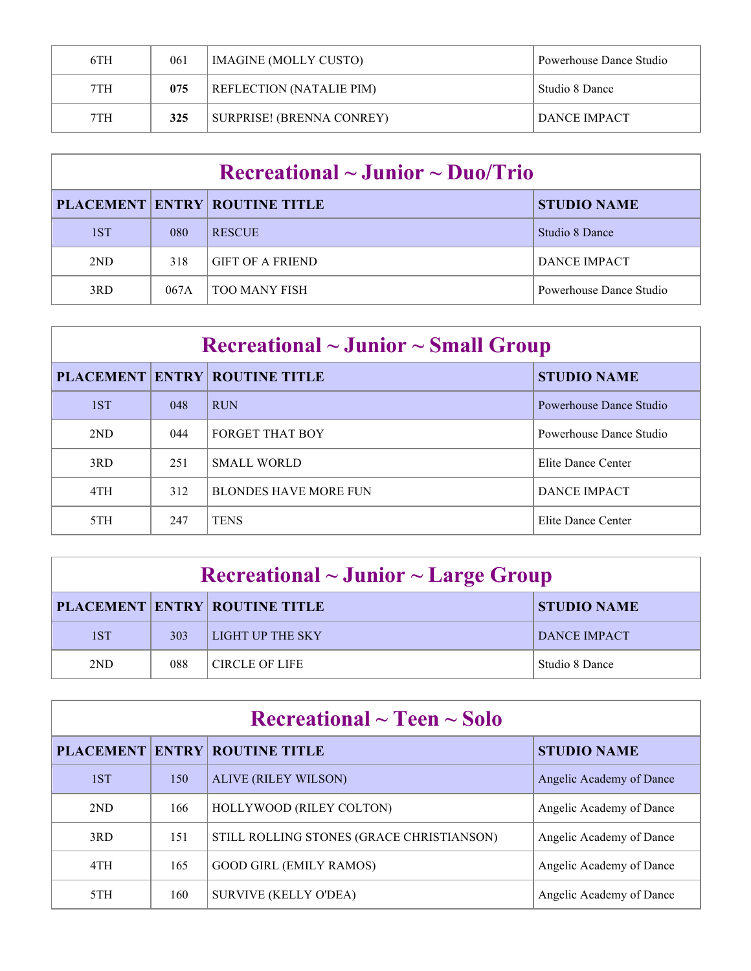| 6TH | 061 | <b>IMAGINE (MOLLY CUSTO)</b>    | Powerhouse Dance Studio |
|-----|-----|---------------------------------|-------------------------|
| 7TH | 075 | <b>REFLECTION (NATALIE PIM)</b> | Studio 8 Dance          |
| 7TH | 325 | SURPRISE! (BRENNA CONREY)       | DANCE IMPACT            |

| $\rm Recreational \sim Junior \sim Duo/Trio$ |      |                                      |                         |
|----------------------------------------------|------|--------------------------------------|-------------------------|
|                                              |      | <b>PLACEMENT ENTRY ROUTINE TITLE</b> | <b>STUDIO NAME</b>      |
| 1ST                                          | 080  | <b>RESCUE</b>                        | Studio 8 Dance          |
| 2ND                                          | 318  | <b>GIFT OF A FRIEND</b>              | <b>DANCE IMPACT</b>     |
| 3RD                                          | 067A | <b>TOO MANY FISH</b>                 | Powerhouse Dance Studio |

| $\rm Recreational \sim Junior \sim Small\,\, Group$ |     |                                      |                         |
|-----------------------------------------------------|-----|--------------------------------------|-------------------------|
|                                                     |     | <b>PLACEMENT ENTRY ROUTINE TITLE</b> | <b>STUDIO NAME</b>      |
| 1ST                                                 | 048 | <b>RUN</b>                           | Powerhouse Dance Studio |
| 2ND                                                 | 044 | <b>FORGET THAT BOY</b>               | Powerhouse Dance Studio |
| 3RD                                                 | 251 | <b>SMALL WORLD</b>                   | Elite Dance Center      |
| 4TH                                                 | 312 | <b>BLONDES HAVE MORE FUN</b>         | <b>DANCE IMPACT</b>     |
| 5TH                                                 | 247 | <b>TENS</b>                          | Elite Dance Center      |

| $\rm Recreational \sim Junior \sim Large\ Group$ |     |                                      |                    |
|--------------------------------------------------|-----|--------------------------------------|--------------------|
|                                                  |     | <b>PLACEMENT ENTRY ROUTINE TITLE</b> | <b>STUDIO NAME</b> |
| 1ST                                              | 303 | LIGHT UP THE SKY                     | DANCE IMPACT       |
| 2ND                                              | 088 | <b>CIRCLE OF LIFE</b>                | Studio 8 Dance     |

| Recreational $\sim$ Teen $\sim$ Solo |     |                                           |                          |
|--------------------------------------|-----|-------------------------------------------|--------------------------|
|                                      |     | <b>PLACEMENT ENTRY ROUTINE TITLE</b>      | <b>STUDIO NAME</b>       |
| 1ST                                  | 150 | <b>ALIVE (RILEY WILSON)</b>               | Angelic Academy of Dance |
| 2ND                                  | 166 | HOLLYWOOD (RILEY COLTON)                  | Angelic Academy of Dance |
| 3RD                                  | 151 | STILL ROLLING STONES (GRACE CHRISTIANSON) | Angelic Academy of Dance |
| 4TH                                  | 165 | <b>GOOD GIRL (EMILY RAMOS)</b>            | Angelic Academy of Dance |
| 5TH                                  | 160 | <b>SURVIVE (KELLY O'DEA)</b>              | Angelic Academy of Dance |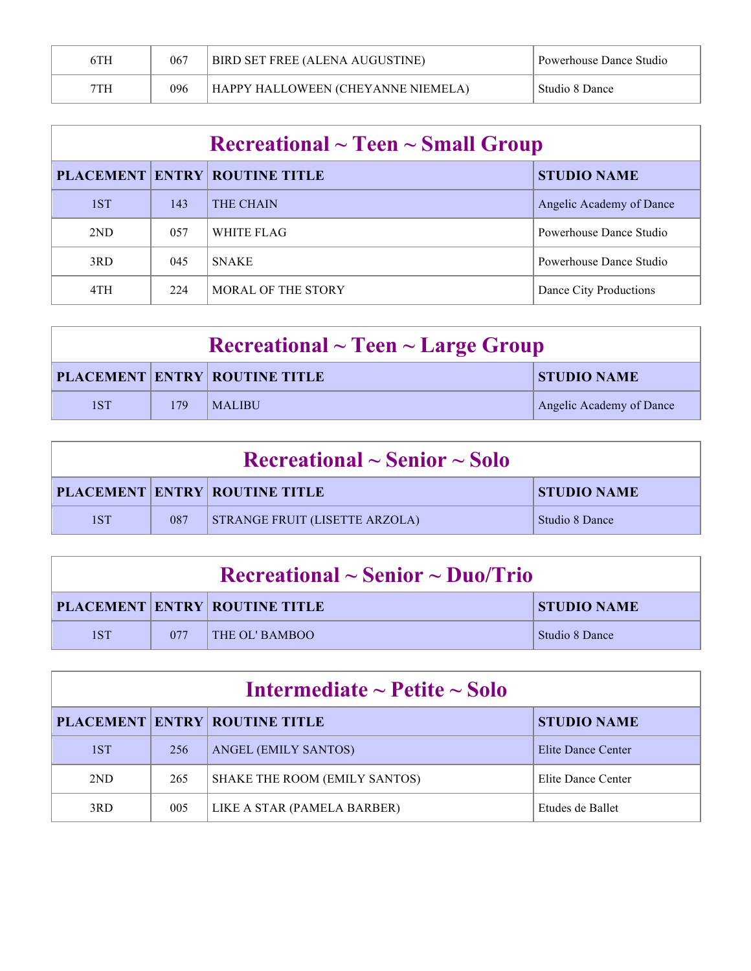| 6TH | 067 | BIRD SET FREE (ALENA AUGUSTINE)    | Powerhouse Dance Studio |
|-----|-----|------------------------------------|-------------------------|
| 7TH | 096 | HAPPY HALLOWEEN (CHEYANNE NIEMELA) | Studio 8 Dance          |

| $\rm Recreational \sim Teen \sim Small\,\, Group$ |     |                                      |                          |
|---------------------------------------------------|-----|--------------------------------------|--------------------------|
|                                                   |     | <b>PLACEMENT ENTRY ROUTINE TITLE</b> | <b>STUDIO NAME</b>       |
| 1ST                                               | 143 | <b>THE CHAIN</b>                     | Angelic Academy of Dance |
| 2ND                                               | 057 | WHITE FLAG                           | Powerhouse Dance Studio  |
| 3RD                                               | 045 | <b>SNAKE</b>                         | Powerhouse Dance Studio  |
| 4TH                                               | 224 | <b>MORAL OF THE STORY</b>            | Dance City Productions   |

| $\textbf{Recreational} \sim \textbf{Teen} \sim \textbf{Large Group}$ |     |                                      |                          |
|----------------------------------------------------------------------|-----|--------------------------------------|--------------------------|
|                                                                      |     | <b>PLACEMENT ENTRY ROUTINE TITLE</b> | <b>STUDIO NAME</b>       |
| 1ST                                                                  | 179 | MALIBU                               | Angelic Academy of Dance |

| $\rm Recreational \sim Senior \sim Solo$ |     |                                       |                    |
|------------------------------------------|-----|---------------------------------------|--------------------|
|                                          |     | <b>PLACEMENT ENTRY ROUTINE TITLE</b>  | <b>STUDIO NAME</b> |
| 1ST                                      | 087 | <b>STRANGE FRUIT (LISETTE ARZOLA)</b> | Studio 8 Dance     |

| $\rm Recreational \sim Senior \sim Duo/Trio$ |     |                                      |                    |  |
|----------------------------------------------|-----|--------------------------------------|--------------------|--|
|                                              |     | <b>PLACEMENT ENTRY ROUTINE TITLE</b> | <b>STUDIO NAME</b> |  |
| 1ST                                          | 077 | THE OL' BAMBOO                       | Studio 8 Dance     |  |

| Intermediate $\sim$ Petite $\sim$ Solo |     |                                      |                    |  |
|----------------------------------------|-----|--------------------------------------|--------------------|--|
|                                        |     | <b>PLACEMENT ENTRY ROUTINE TITLE</b> | <b>STUDIO NAME</b> |  |
| 1ST                                    | 256 | ANGEL (EMILY SANTOS)                 | Elite Dance Center |  |
| 2ND                                    | 265 | SHAKE THE ROOM (EMILY SANTOS)        | Elite Dance Center |  |
| 3RD                                    | 005 | LIKE A STAR (PAMELA BARBER)          | Etudes de Ballet   |  |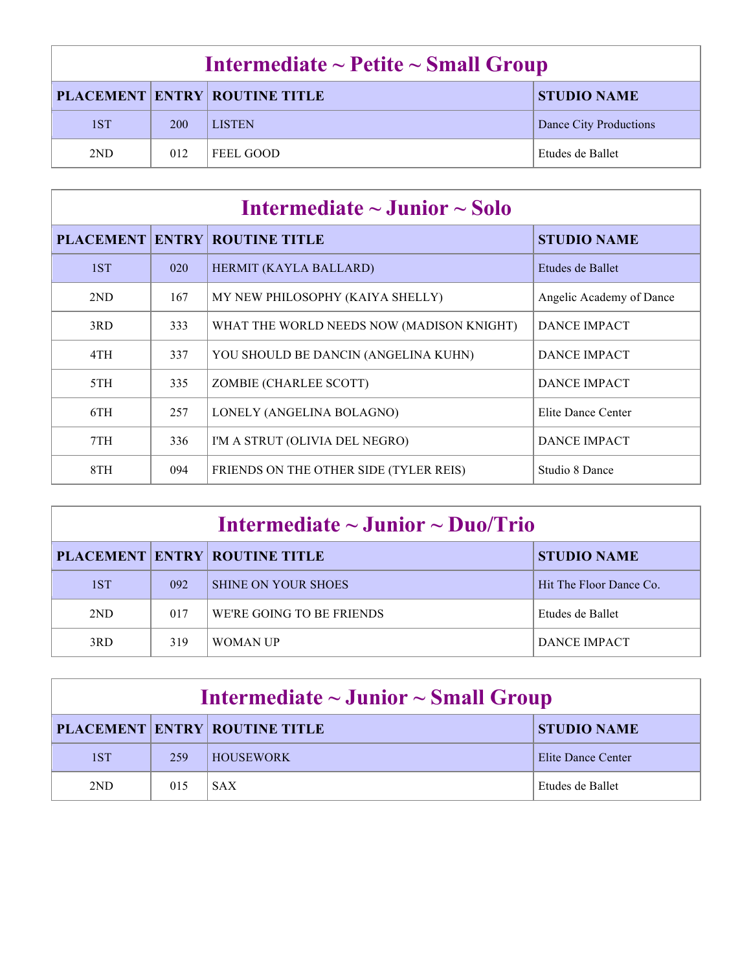| Intermediate $\sim$ Petite $\sim$ Small Group              |     |               |                        |  |
|------------------------------------------------------------|-----|---------------|------------------------|--|
| <b>PLACEMENT ENTRY ROUTINE TITLE</b><br><b>STUDIO NAME</b> |     |               |                        |  |
| 1ST                                                        | 200 | <b>LISTEN</b> | Dance City Productions |  |
| 2ND                                                        | 012 | FEEL GOOD     | Etudes de Ballet       |  |

| Intermediate $\sim$ Junior $\sim$ Solo |     |                                           |                          |  |
|----------------------------------------|-----|-------------------------------------------|--------------------------|--|
|                                        |     | <b>PLACEMENT ENTRY ROUTINE TITLE</b>      | <b>STUDIO NAME</b>       |  |
| 1ST                                    | 020 | HERMIT (KAYLA BALLARD)                    | Etudes de Ballet         |  |
| 2ND                                    | 167 | MY NEW PHILOSOPHY (KAIYA SHELLY)          | Angelic Academy of Dance |  |
| 3RD                                    | 333 | WHAT THE WORLD NEEDS NOW (MADISON KNIGHT) | <b>DANCE IMPACT</b>      |  |
| 4TH                                    | 337 | YOU SHOULD BE DANCIN (ANGELINA KUHN)      | DANCE IMPACT             |  |
| 5TH                                    | 335 | ZOMBIE (CHARLEE SCOTT)                    | <b>DANCE IMPACT</b>      |  |
| 6TH                                    | 257 | LONELY (ANGELINA BOLAGNO)                 | Elite Dance Center       |  |
| 7TH                                    | 336 | I'M A STRUT (OLIVIA DEL NEGRO)            | <b>DANCE IMPACT</b>      |  |
| 8TH                                    | 094 | FRIENDS ON THE OTHER SIDE (TYLER REIS)    | Studio 8 Dance           |  |

| Intermediate $\sim$ Junior $\sim$ Duo/Trio |     |                                      |                         |  |
|--------------------------------------------|-----|--------------------------------------|-------------------------|--|
|                                            |     | <b>PLACEMENT ENTRY ROUTINE TITLE</b> | <b>STUDIO NAME</b>      |  |
| 1ST                                        | 092 | <b>SHINE ON YOUR SHOES</b>           | Hit The Floor Dance Co. |  |
| 2ND                                        | 017 | WE'RE GOING TO BE FRIENDS            | Etudes de Ballet        |  |
| 3RD                                        | 319 | WOMAN UP                             | DANCE IMPACT            |  |

| Intermediate $\sim$ Junior $\sim$ Small Group |     |                                      |                               |
|-----------------------------------------------|-----|--------------------------------------|-------------------------------|
|                                               |     | <b>PLACEMENT ENTRY ROUTINE TITLE</b> | <b>STUDIO NAME</b>            |
| 1ST                                           | 259 | <b>HOUSEWORK</b>                     | Elite Dance Center            |
| 2ND                                           | 015 | <b>SAX</b>                           | <sup>'</sup> Etudes de Ballet |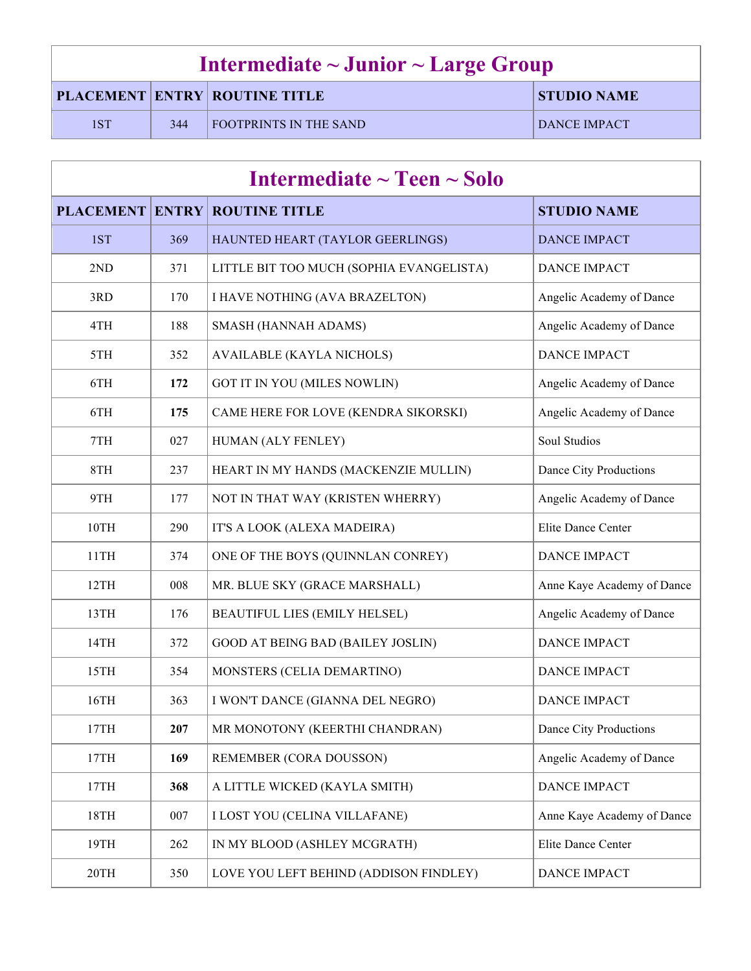| Intermediate $\sim$ Junior $\sim$ Large Group |     |                                      |                    |
|-----------------------------------------------|-----|--------------------------------------|--------------------|
|                                               |     | <b>PLACEMENT ENTRY ROUTINE TITLE</b> | <b>STUDIO NAME</b> |
| 1ST                                           | 344 | <b>FOOTPRINTS IN THE SAND</b>        | DANCE IMPACT       |

| Intermediate $\sim$ Teen $\sim$ Solo |              |                                          |                            |
|--------------------------------------|--------------|------------------------------------------|----------------------------|
| <b>PLACEMENT</b>                     | <b>ENTRY</b> | <b>ROUTINE TITLE</b>                     | <b>STUDIO NAME</b>         |
| 1ST                                  | 369          | HAUNTED HEART (TAYLOR GEERLINGS)         | <b>DANCE IMPACT</b>        |
| 2ND                                  | 371          | LITTLE BIT TOO MUCH (SOPHIA EVANGELISTA) | <b>DANCE IMPACT</b>        |
| 3RD                                  | 170          | I HAVE NOTHING (AVA BRAZELTON)           | Angelic Academy of Dance   |
| 4TH                                  | 188          | SMASH (HANNAH ADAMS)                     | Angelic Academy of Dance   |
| 5TH                                  | 352          | <b>AVAILABLE (KAYLA NICHOLS)</b>         | <b>DANCE IMPACT</b>        |
| 6TH                                  | 172          | GOT IT IN YOU (MILES NOWLIN)             | Angelic Academy of Dance   |
| 6TH                                  | 175          | CAME HERE FOR LOVE (KENDRA SIKORSKI)     | Angelic Academy of Dance   |
| 7TH                                  | 027          | HUMAN (ALY FENLEY)                       | Soul Studios               |
| 8TH                                  | 237          | HEART IN MY HANDS (MACKENZIE MULLIN)     | Dance City Productions     |
| 9TH                                  | 177          | NOT IN THAT WAY (KRISTEN WHERRY)         | Angelic Academy of Dance   |
| 10TH                                 | 290          | IT'S A LOOK (ALEXA MADEIRA)              | Elite Dance Center         |
| 11TH                                 | 374          | ONE OF THE BOYS (QUINNLAN CONREY)        | <b>DANCE IMPACT</b>        |
| 12TH                                 | 008          | MR. BLUE SKY (GRACE MARSHALL)            | Anne Kaye Academy of Dance |
| 13TH                                 | 176          | BEAUTIFUL LIES (EMILY HELSEL)            | Angelic Academy of Dance   |
| 14TH                                 | 372          | <b>GOOD AT BEING BAD (BAILEY JOSLIN)</b> | <b>DANCE IMPACT</b>        |
| 15TH                                 | 354          | MONSTERS (CELIA DEMARTINO)               | <b>DANCE IMPACT</b>        |
| 16TH                                 | 363          | I WON'T DANCE (GIANNA DEL NEGRO)         | <b>DANCE IMPACT</b>        |
| 17TH                                 | 207          | MR MONOTONY (KEERTHI CHANDRAN)           | Dance City Productions     |
| 17TH                                 | 169          | REMEMBER (CORA DOUSSON)                  | Angelic Academy of Dance   |
| 17TH                                 | 368          | A LITTLE WICKED (KAYLA SMITH)            | <b>DANCE IMPACT</b>        |
| 18TH                                 | 007          | <b>I LOST YOU (CELINA VILLAFANE)</b>     | Anne Kaye Academy of Dance |
| 19TH                                 | 262          | IN MY BLOOD (ASHLEY MCGRATH)             | Elite Dance Center         |
| 20TH                                 | 350          | LOVE YOU LEFT BEHIND (ADDISON FINDLEY)   | <b>DANCE IMPACT</b>        |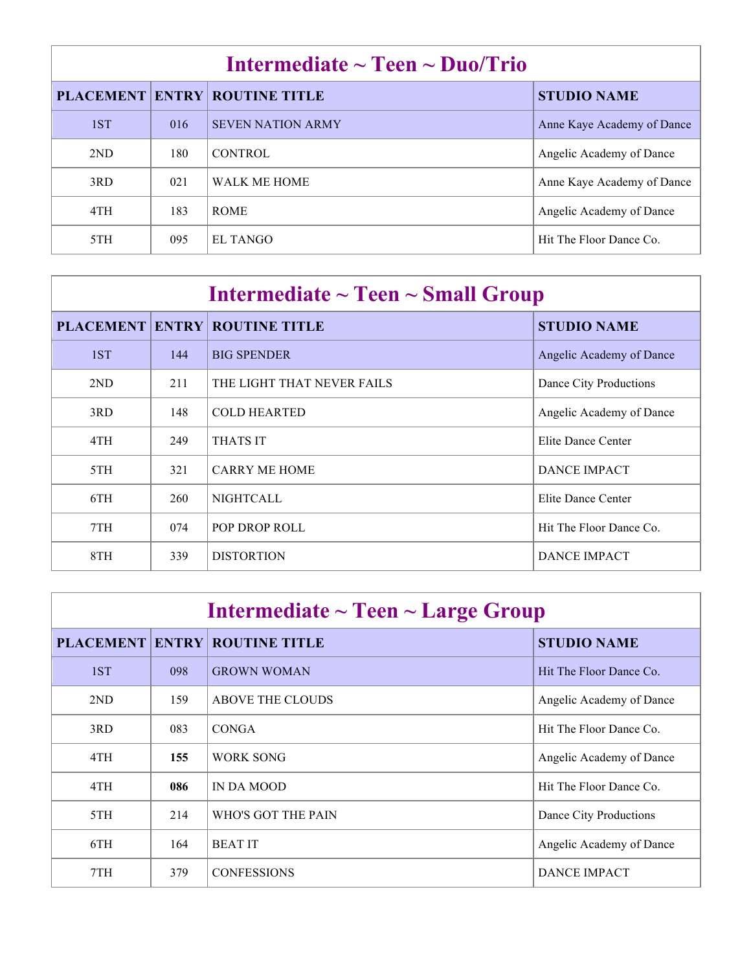| Intermediate $\sim$ Teen $\sim$ Duo/Trio |      |                            |                            |
|------------------------------------------|------|----------------------------|----------------------------|
| <b>PLACEMENT</b>                         |      | <b>ENTRY ROUTINE TITLE</b> | <b>STUDIO NAME</b>         |
| 1ST                                      | 016  | <b>SEVEN NATION ARMY</b>   | Anne Kaye Academy of Dance |
| 2ND                                      | 180. | <b>CONTROL</b>             | Angelic Academy of Dance   |
| 3RD                                      | 021  | WALK ME HOME               | Anne Kaye Academy of Dance |
| 4TH                                      | 183  | <b>ROME</b>                | Angelic Academy of Dance   |
| 5TH                                      | 095  | EL TANGO                   | Hit The Floor Dance Co.    |

| Intermediate $\sim$ Teen $\sim$ Small Group |     |                                      |                          |  |
|---------------------------------------------|-----|--------------------------------------|--------------------------|--|
|                                             |     | <b>PLACEMENT ENTRY ROUTINE TITLE</b> | <b>STUDIO NAME</b>       |  |
| 1ST                                         | 144 | <b>BIG SPENDER</b>                   | Angelic Academy of Dance |  |
| 2ND                                         | 211 | THE LIGHT THAT NEVER FAILS           | Dance City Productions   |  |
| 3RD                                         | 148 | <b>COLD HEARTED</b>                  | Angelic Academy of Dance |  |
| 4TH                                         | 249 | <b>THATS IT</b>                      | Elite Dance Center       |  |
| 5TH                                         | 321 | <b>CARRY ME HOME</b>                 | <b>DANCE IMPACT</b>      |  |
| 6TH                                         | 260 | <b>NIGHTCALL</b>                     | Elite Dance Center       |  |
| 7TH                                         | 074 | POP DROP ROLL                        | Hit The Floor Dance Co.  |  |
| 8TH                                         | 339 | <b>DISTORTION</b>                    | <b>DANCE IMPACT</b>      |  |

| Intermediate $\sim$ Teen $\sim$ Large Group |              |                         |                          |
|---------------------------------------------|--------------|-------------------------|--------------------------|
| <b>PLACEMENT</b>                            | <b>ENTRY</b> | <b>ROUTINE TITLE</b>    | <b>STUDIO NAME</b>       |
| 1ST                                         | 098          | <b>GROWN WOMAN</b>      | Hit The Floor Dance Co.  |
| 2ND                                         | 159          | <b>ABOVE THE CLOUDS</b> | Angelic Academy of Dance |
| 3RD                                         | 083          | <b>CONGA</b>            | Hit The Floor Dance Co.  |
| 4TH                                         | 155          | <b>WORK SONG</b>        | Angelic Academy of Dance |
| 4TH                                         | 086          | IN DA MOOD              | Hit The Floor Dance Co.  |
| 5TH                                         | 214          | WHO'S GOT THE PAIN      | Dance City Productions   |
| 6TH                                         | 164          | <b>BEATIT</b>           | Angelic Academy of Dance |
| 7TH                                         | 379          | <b>CONFESSIONS</b>      | <b>DANCE IMPACT</b>      |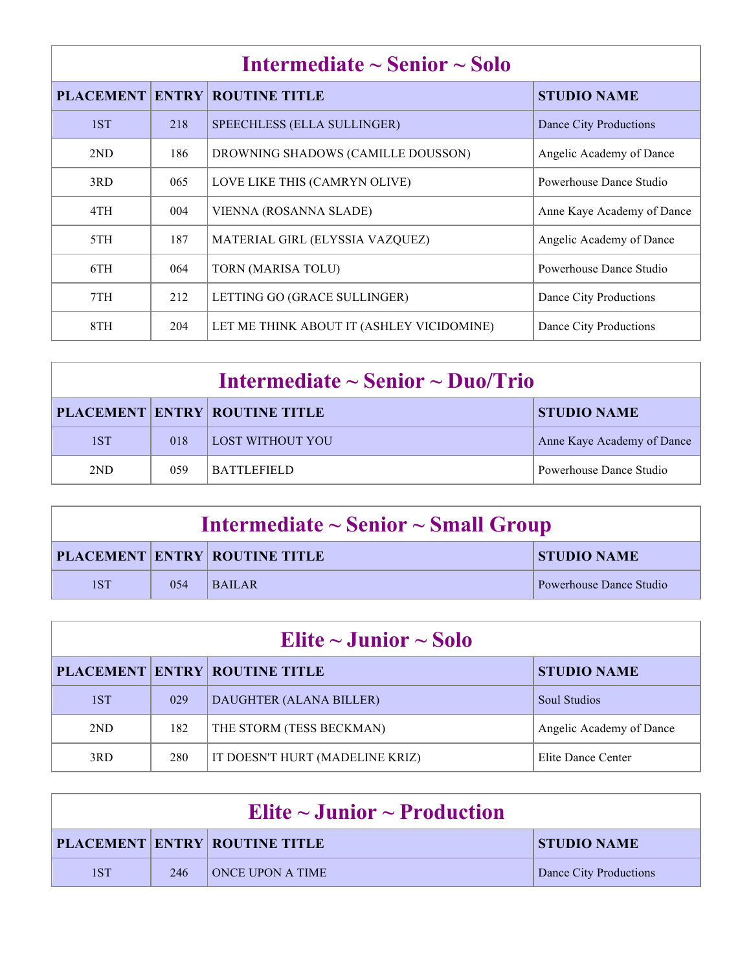| Intermediate $\sim$ Senior $\sim$ Solo |     |                                           |                            |
|----------------------------------------|-----|-------------------------------------------|----------------------------|
| <b>PLACEMENT ENTRY</b>                 |     | <b>ROUTINE TITLE</b>                      | <b>STUDIO NAME</b>         |
| 1ST                                    | 218 | <b>SPEECHLESS (ELLA SULLINGER)</b>        | Dance City Productions     |
| 2ND                                    | 186 | DROWNING SHADOWS (CAMILLE DOUSSON)        | Angelic Academy of Dance   |
| 3RD                                    | 065 | LOVE LIKE THIS (CAMRYN OLIVE)             | Powerhouse Dance Studio    |
| 4TH                                    | 004 | VIENNA (ROSANNA SLADE)                    | Anne Kaye Academy of Dance |
| 5TH                                    | 187 | MATERIAL GIRL (ELYSSIA VAZQUEZ)           | Angelic Academy of Dance   |
| 6TH                                    | 064 | TORN (MARISA TOLU)                        | Powerhouse Dance Studio    |
| 7TH                                    | 212 | LETTING GO (GRACE SULLINGER)              | Dance City Productions     |
| 8TH                                    | 204 | LET ME THINK ABOUT IT (ASHLEY VICIDOMINE) | Dance City Productions     |

| Intermediate $\sim$ Senior $\sim$ Duo/Trio |     |                                      |                            |
|--------------------------------------------|-----|--------------------------------------|----------------------------|
|                                            |     | <b>PLACEMENT ENTRY ROUTINE TITLE</b> | <b>STUDIO NAME</b>         |
| 1ST                                        | 018 | LOST WITHOUT YOU                     | Anne Kaye Academy of Dance |
| 2ND                                        | 059 | <b>BATTLEFIELD</b>                   | Powerhouse Dance Studio    |

| Intermediate $\sim$ Senior $\sim$ Small Group |      |                                      |                         |
|-----------------------------------------------|------|--------------------------------------|-------------------------|
|                                               |      | <b>PLACEMENT ENTRY ROUTINE TITLE</b> | <b>STUDIO NAME</b>      |
| 1ST                                           | 0.54 | <b>BAILAR</b>                        | Powerhouse Dance Studio |

| Elite $\sim$ Junior $\sim$ Solo |     |                                      |                          |  |
|---------------------------------|-----|--------------------------------------|--------------------------|--|
|                                 |     | <b>PLACEMENT ENTRY ROUTINE TITLE</b> | <b>STUDIO NAME</b>       |  |
| 1ST                             | 029 | DAUGHTER (ALANA BILLER)              | <b>Soul Studios</b>      |  |
| 2ND                             | 182 | THE STORM (TESS BECKMAN)             | Angelic Academy of Dance |  |
| 3RD                             | 280 | IT DOESN'T HURT (MADELINE KRIZ)      | Elite Dance Center       |  |
|                                 |     |                                      |                          |  |

| Elite $\sim$ Junior $\sim$ Production |     |                                      |                        |
|---------------------------------------|-----|--------------------------------------|------------------------|
|                                       |     | <b>PLACEMENT ENTRY ROUTINE TITLE</b> | <b>STUDIO NAME</b>     |
| 1ST                                   | 246 | <b>ONCE UPON A TIME</b>              | Dance City Productions |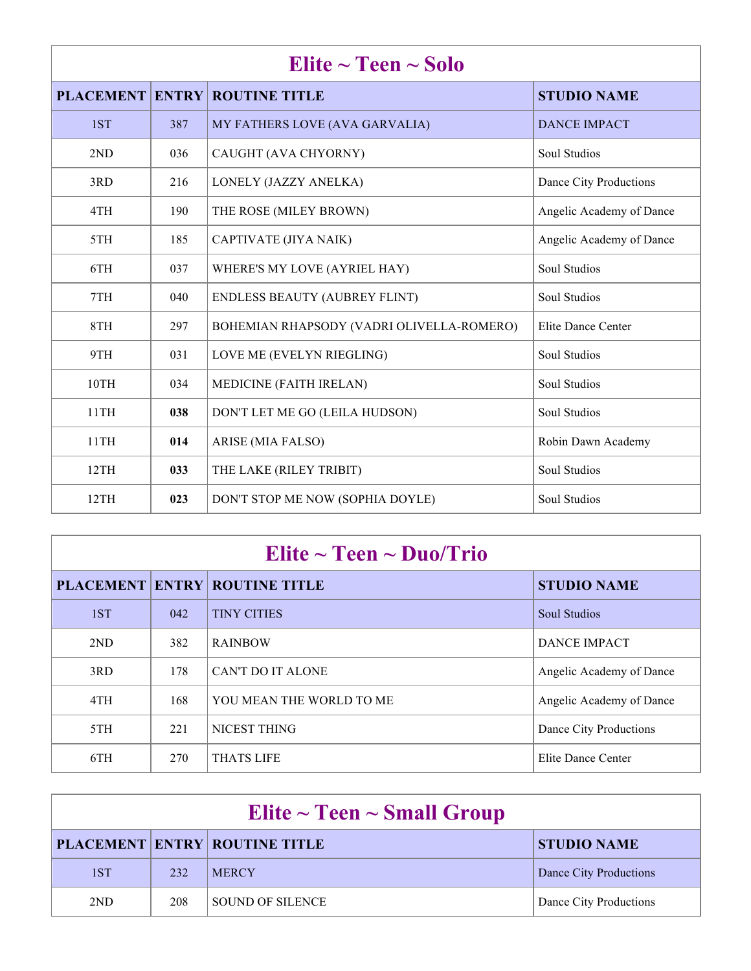| Elite $\sim$ Teen $\sim$ Solo |     |                                           |                          |
|-------------------------------|-----|-------------------------------------------|--------------------------|
|                               |     | <b>PLACEMENT ENTRY ROUTINE TITLE</b>      | <b>STUDIO NAME</b>       |
| 1ST                           | 387 | MY FATHERS LOVE (AVA GARVALIA)            | <b>DANCE IMPACT</b>      |
| 2ND                           | 036 | CAUGHT (AVA CHYORNY)                      | <b>Soul Studios</b>      |
| 3RD                           | 216 | LONELY (JAZZY ANELKA)                     | Dance City Productions   |
| 4TH                           | 190 | THE ROSE (MILEY BROWN)                    | Angelic Academy of Dance |
| 5TH                           | 185 | CAPTIVATE (JIYA NAIK)                     | Angelic Academy of Dance |
| 6TH                           | 037 | WHERE'S MY LOVE (AYRIEL HAY)              | Soul Studios             |
| 7TH                           | 040 | <b>ENDLESS BEAUTY (AUBREY FLINT)</b>      | Soul Studios             |
| 8TH                           | 297 | BOHEMIAN RHAPSODY (VADRI OLIVELLA-ROMERO) | Elite Dance Center       |
| 9TH                           | 031 | LOVE ME (EVELYN RIEGLING)                 | Soul Studios             |
| 10TH                          | 034 | MEDICINE (FAITH IRELAN)                   | Soul Studios             |
| 11TH                          | 038 | DON'T LET ME GO (LEILA HUDSON)            | Soul Studios             |
| 11TH                          | 014 | ARISE (MIA FALSO)                         | Robin Dawn Academy       |
| 12TH                          | 033 | THE LAKE (RILEY TRIBIT)                   | <b>Soul Studios</b>      |
| 12TH                          | 023 | DON'T STOP ME NOW (SOPHIA DOYLE)          | Soul Studios             |

# **Elite ~ Teen ~ Duo/Trio**

|     |     | <b>PLACEMENT ENTRY ROUTINE TITLE</b> | <b>STUDIO NAME</b>       |
|-----|-----|--------------------------------------|--------------------------|
| 1ST | 042 | <b>TINY CITIES</b>                   | <b>Soul Studios</b>      |
| 2ND | 382 | <b>RAINBOW</b>                       | <b>DANCE IMPACT</b>      |
| 3RD | 178 | CAN'T DO IT ALONE                    | Angelic Academy of Dance |
| 4TH | 168 | YOU MEAN THE WORLD TO ME             | Angelic Academy of Dance |
| 5TH | 221 | NICEST THING                         | Dance City Productions   |
| 6TH | 270 | <b>THATS LIFE</b>                    | Elite Dance Center       |

| Elite $\sim$ Teen $\sim$ Small Group |     |                                      |                        |
|--------------------------------------|-----|--------------------------------------|------------------------|
|                                      |     | <b>PLACEMENT ENTRY ROUTINE TITLE</b> | <b>STUDIO NAME</b>     |
| 1ST                                  | 232 | <b>MERCY</b>                         | Dance City Productions |
| 2ND                                  | 208 | SOUND OF SILENCE                     | Dance City Productions |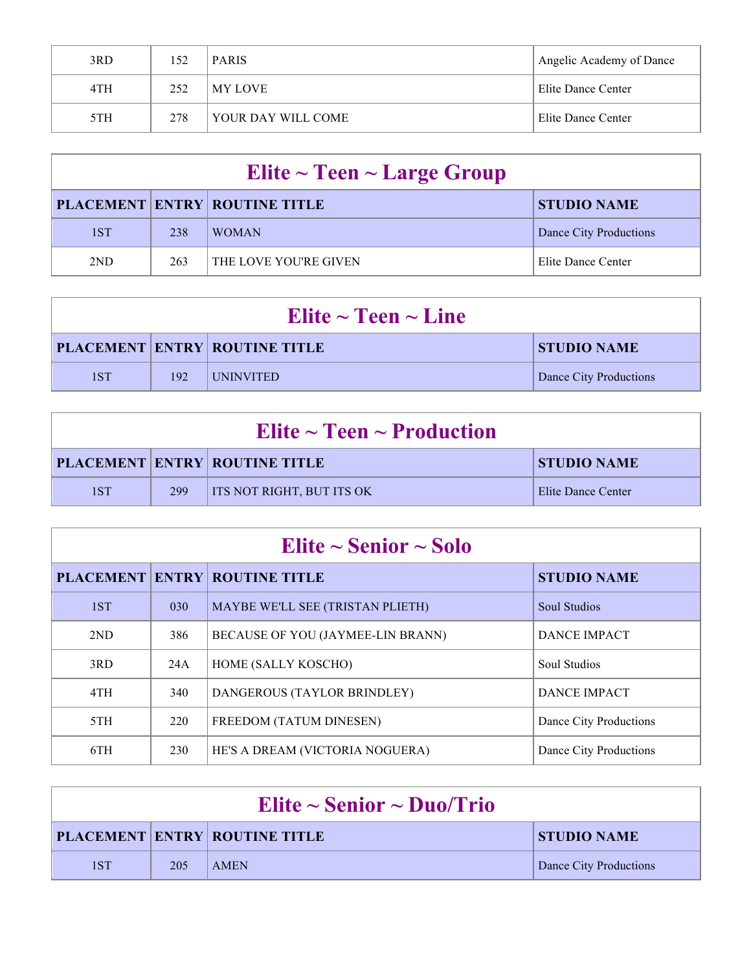| 3RD | 152 | <b>PARIS</b>       | Angelic Academy of Dance |
|-----|-----|--------------------|--------------------------|
| 4TH | 252 | MY LOVE            | Elite Dance Center       |
| 5TH | 278 | YOUR DAY WILL COME | Elite Dance Center       |

| Elite $\sim$ Teen $\sim$ Large Group |     |                                      |                        |
|--------------------------------------|-----|--------------------------------------|------------------------|
|                                      |     | <b>PLACEMENT ENTRY ROUTINE TITLE</b> | <b>STUDIO NAME</b>     |
| 1ST                                  | 238 | <b>WOMAN</b>                         | Dance City Productions |
| 2 <sub>ND</sub>                      | 263 | THE LOVE YOU'RE GIVEN                | Elite Dance Center     |

| Elite $\sim$ Teen $\sim$ Line |     |                                      |                        |
|-------------------------------|-----|--------------------------------------|------------------------|
|                               |     | <b>PLACEMENT ENTRY ROUTINE TITLE</b> | <b>STUDIO NAME</b>     |
| 1ST                           | 192 | <b>UNINVITED</b>                     | Dance City Productions |

| Elite $\sim$ Teen $\sim$ Production |     |                                      |                    |
|-------------------------------------|-----|--------------------------------------|--------------------|
|                                     |     | <b>PLACEMENT ENTRY ROUTINE TITLE</b> | <b>STUDIO NAME</b> |
| 1ST                                 | 299 | <b>ITS NOT RIGHT, BUT ITS OK</b>     | Elite Dance Center |

| Elite $\sim$ Senior $\sim$ Solo |     |                                      |                        |
|---------------------------------|-----|--------------------------------------|------------------------|
|                                 |     | <b>PLACEMENT ENTRY ROUTINE TITLE</b> | <b>STUDIO NAME</b>     |
| 1ST                             | 030 | MAYBE WE'LL SEE (TRISTAN PLIETH)     | <b>Soul Studios</b>    |
| 2ND                             | 386 | BECAUSE OF YOU (JAYMEE-LIN BRANN)    | <b>DANCE IMPACT</b>    |
| 3RD                             | 24A | HOME (SALLY KOSCHO)                  | Soul Studios           |
| 4TH                             | 340 | DANGEROUS (TAYLOR BRINDLEY)          | <b>DANCE IMPACT</b>    |
| 5TH                             | 220 | FREEDOM (TATUM DINESEN)              | Dance City Productions |
| 6TH                             | 230 | HE'S A DREAM (VICTORIA NOGUERA)      | Dance City Productions |

| Elite ~ Senior ~ Duo/Trio |     |                                      |                        |
|---------------------------|-----|--------------------------------------|------------------------|
|                           |     | <b>PLACEMENT ENTRY ROUTINE TITLE</b> | <b>STUDIO NAME</b>     |
| 1ST                       | 205 | <b>AMEN</b>                          | Dance City Productions |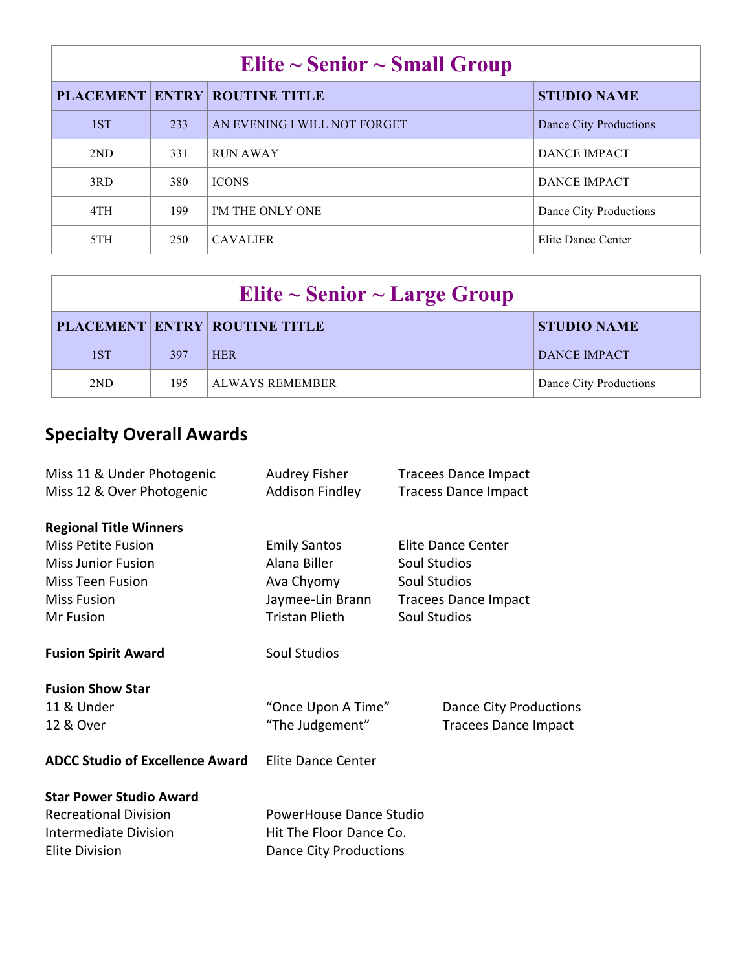| Elite $\sim$ Senior $\sim$ Small Group |     |                                      |                        |
|----------------------------------------|-----|--------------------------------------|------------------------|
|                                        |     | <b>PLACEMENT ENTRY ROUTINE TITLE</b> | <b>STUDIO NAME</b>     |
| 1ST                                    | 233 | AN EVENING I WILL NOT FORGET         | Dance City Productions |
| 2ND                                    | 331 | <b>RUN AWAY</b>                      | <b>DANCE IMPACT</b>    |
| 3RD                                    | 380 | <b>ICONS</b>                         | <b>DANCE IMPACT</b>    |
| 4TH                                    | 199 | I'M THE ONLY ONE                     | Dance City Productions |
| 5TH                                    | 250 | <b>CAVALIER</b>                      | Elite Dance Center     |

| Elite $\sim$ Senior $\sim$ Large Group |     |                                      |                        |
|----------------------------------------|-----|--------------------------------------|------------------------|
|                                        |     | <b>PLACEMENT ENTRY ROUTINE TITLE</b> | <b>STUDIO NAME</b>     |
| 1ST                                    | 397 | <b>HER</b>                           | DANCE IMPACT           |
| 2ND                                    | 195 | <b>ALWAYS REMEMBER</b>               | Dance City Productions |

## **Specialty Overall Awards**

| Miss 11 & Under Photogenic<br>Miss 12 & Over Photogenic                                 | Audrey Fisher<br><b>Addison Findley</b> | <b>Tracees Dance Impact</b><br><b>Tracess Dance Impact</b> |
|-----------------------------------------------------------------------------------------|-----------------------------------------|------------------------------------------------------------|
| <b>Regional Title Winners</b><br><b>Miss Petite Fusion</b><br><b>Miss Junior Fusion</b> | <b>Emily Santos</b><br>Alana Biller     | <b>Elite Dance Center</b><br><b>Soul Studios</b>           |
| <b>Miss Teen Fusion</b>                                                                 | Ava Chyomy                              | <b>Soul Studios</b>                                        |
| <b>Miss Fusion</b>                                                                      | Jaymee-Lin Brann                        | <b>Tracees Dance Impact</b>                                |
| Mr Fusion                                                                               | <b>Tristan Plieth</b>                   | <b>Soul Studios</b>                                        |
| <b>Fusion Spirit Award</b>                                                              | <b>Soul Studios</b>                     |                                                            |
| <b>Fusion Show Star</b>                                                                 |                                         |                                                            |
| 11 & Under                                                                              | "Once Upon A Time"                      | <b>Dance City Productions</b>                              |
| 12 & Over                                                                               | "The Judgement"                         | <b>Tracees Dance Impact</b>                                |
| <b>ADCC Studio of Excellence Award</b>                                                  | Elite Dance Center                      |                                                            |
| <b>Star Power Studio Award</b>                                                          |                                         |                                                            |
| <b>Recreational Division</b>                                                            | PowerHouse Dance Studio                 |                                                            |
| <b>Intermediate Division</b><br>Hit The Floor Dance Co.                                 |                                         |                                                            |
| <b>Elite Division</b>                                                                   | <b>Dance City Productions</b>           |                                                            |